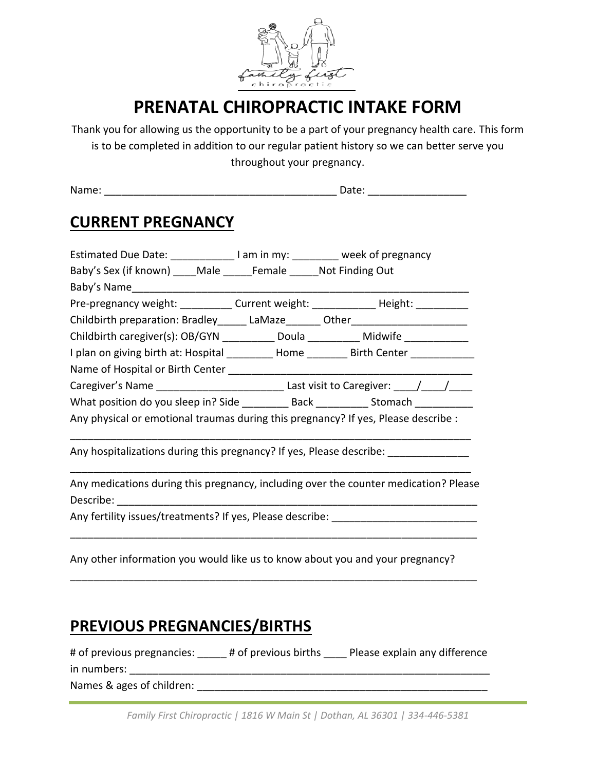

# **PRENATAL CHIROPRACTIC INTAKE FORM**

Thank you for allowing us the opportunity to be a part of your pregnancy health care. This form is to be completed in addition to our regular patient history so we can better serve you throughout your pregnancy.

Name: \_\_\_\_\_\_\_\_\_\_\_\_\_\_\_\_\_\_\_\_\_\_\_\_\_\_\_\_\_\_\_\_\_\_\_\_\_\_\_\_ Date: \_\_\_\_\_\_\_\_\_\_\_\_\_\_\_\_\_

### **CURRENT PREGNANCY**

| Estimated Due Date: _______________ I am in my: _________ week of pregnancy             |  |                                                                                          |  |  |  |  |
|-----------------------------------------------------------------------------------------|--|------------------------------------------------------------------------------------------|--|--|--|--|
| Baby's Sex (if known) ____ Male ______ Female ______ Not Finding Out                    |  |                                                                                          |  |  |  |  |
|                                                                                         |  |                                                                                          |  |  |  |  |
| Pre-pregnancy weight: ___________ Current weight: _____________ Height: _________       |  |                                                                                          |  |  |  |  |
| Childbirth preparation: Bradley________ LaMaze________ Other____________________        |  |                                                                                          |  |  |  |  |
| Childbirth caregiver(s): OB/GYN __________ Doula __________ Midwife ____________        |  |                                                                                          |  |  |  |  |
| I plan on giving birth at: Hospital _________ Home _______ Birth Center _________       |  |                                                                                          |  |  |  |  |
|                                                                                         |  |                                                                                          |  |  |  |  |
|                                                                                         |  |                                                                                          |  |  |  |  |
| What position do you sleep in? Side ____________ Back ____________ Stomach ____________ |  |                                                                                          |  |  |  |  |
| Any physical or emotional traumas during this pregnancy? If yes, Please describe :      |  |                                                                                          |  |  |  |  |
| Any hospitalizations during this pregnancy? If yes, Please describe: ____________       |  |                                                                                          |  |  |  |  |
|                                                                                         |  | Any medications during this pregnancy, including over the counter medication? Please     |  |  |  |  |
| Any fertility issues/treatments? If yes, Please describe: _______________________       |  |                                                                                          |  |  |  |  |
| Any other information you would like us to know about you and your pregnancy?           |  |                                                                                          |  |  |  |  |
| <b>PREVIOUS PREGNANCIES/BIRTHS</b>                                                      |  |                                                                                          |  |  |  |  |
|                                                                                         |  | # of previous pregnancies: _____ # of previous births ____ Please explain any difference |  |  |  |  |

Names & ages of children: \_\_\_\_\_\_\_\_\_\_\_\_\_\_\_\_\_\_\_\_\_\_\_\_\_\_\_\_\_\_\_\_\_\_\_\_\_\_\_\_\_\_\_\_\_\_\_\_\_\_

in numbers: \_\_\_\_\_\_\_\_\_\_\_\_\_\_\_\_\_\_\_\_\_\_\_\_\_\_\_\_\_\_\_\_\_\_\_\_\_\_\_\_\_\_\_\_\_\_\_\_\_\_\_\_\_\_\_\_\_\_\_\_\_\_